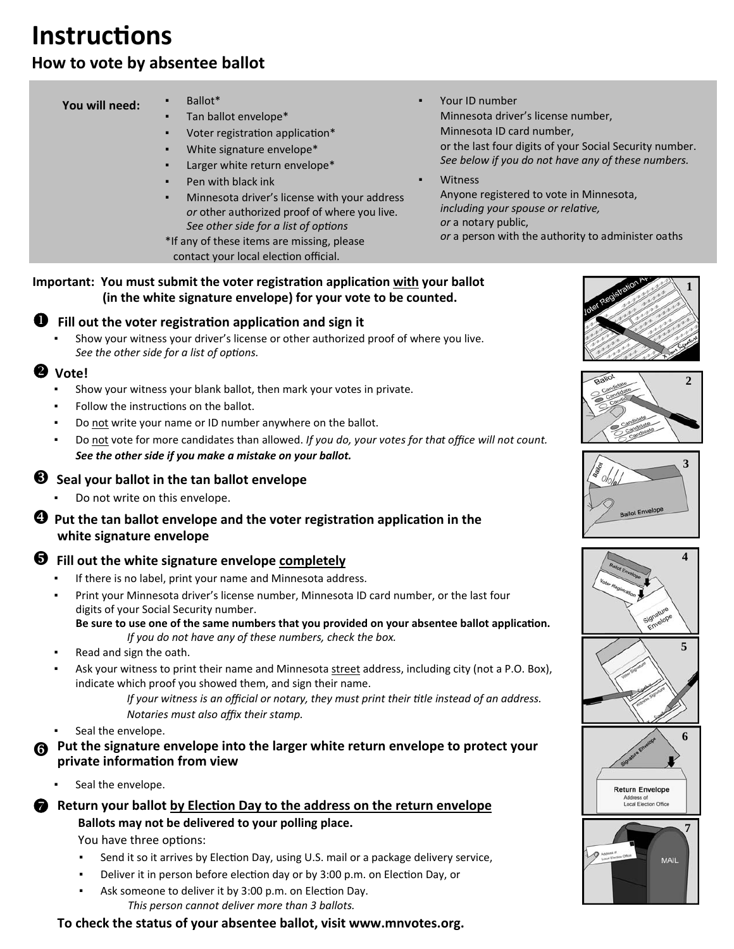# **InstrucƟons**

# **How to vote by absentee ballot**

#### **You will need:**

- Ballot\*
- Tan ballot envelope\*
- Voter registration application\*
- White signature envelope\*
- Larger white return envelope\*
- Pen with black ink
- Minnesota driver's license with your address *or* other authorized proof of where you live. *See other side for a list of opƟons*
- \*If any of these items are missing, please contact your local election official.
- Your ID number Minnesota driver's license number, Minnesota ID card number, or the last four digits of your Social Security number. *See below if you do not have any of these numbers.*

**Witness**  Anyone registered to vote in Minnesota, *including your spouse or relative, or* a notary public, *or* a person with the authority to administer oaths

#### **Important: You must submit the voter registration application with your ballot (in the white signature envelope) for your vote to be counted.**

## **Fill out the voter registraƟon applicaƟon and sign it**

Show your witness your driver's license or other authorized proof of where you live. *See the other side for a list of options.* 

#### **2** Vote!

- Show your witness your blank ballot, then mark your votes in private.
- Follow the instructions on the ballot.
- Do not write your name or ID number anywhere on the ballot.
- Do not vote for more candidates than allowed. *If you do, your votes for that office will not count. See the other side if you make a mistake on your ballot.*

### **Seal your ballot in the tan ballot envelope**

Do not write on this envelope.

#### $\bullet$  Put the tan ballot envelope and the voter registration application in the  **white signature envelope**

## **Fill out the white signature envelope completely**

- If there is no label, print your name and Minnesota address.
- Print your Minnesota driver's license number, Minnesota ID card number, or the last four digits of your Social Security number.

Be sure to use one of the same numbers that you provided on your absentee ballot application.  *If you do not have any of these numbers, check the box.*

- Read and sign the oath.
- Ask your witness to print their name and Minnesota street address, including city (not a P.O. Box), indicate which proof you showed them, and sign their name.

*If your witness is an official or notary, they must print their title instead of an address. Notaries must also affix their stamp.*

- Seal the envelope.
- **Put the signature envelope into the larger white return envelope to protect your private informaƟon from view**
	- Seal the envelope.

# **Return your ballot by Election Day to the address on the return envelope**

# **Ballots may not be delivered to your polling place.**

You have three options:

- Send it so it arrives by Election Day, using U.S. mail or a package delivery service,
- Deliver it in person before election day or by 3:00 p.m. on Election Day, or
- Ask someone to deliver it by 3:00 p.m. on Election Day. *This person cannot deliver more than 3 ballots.*

**To check the status of your absentee ballot, visit www.mnvotes.org.**